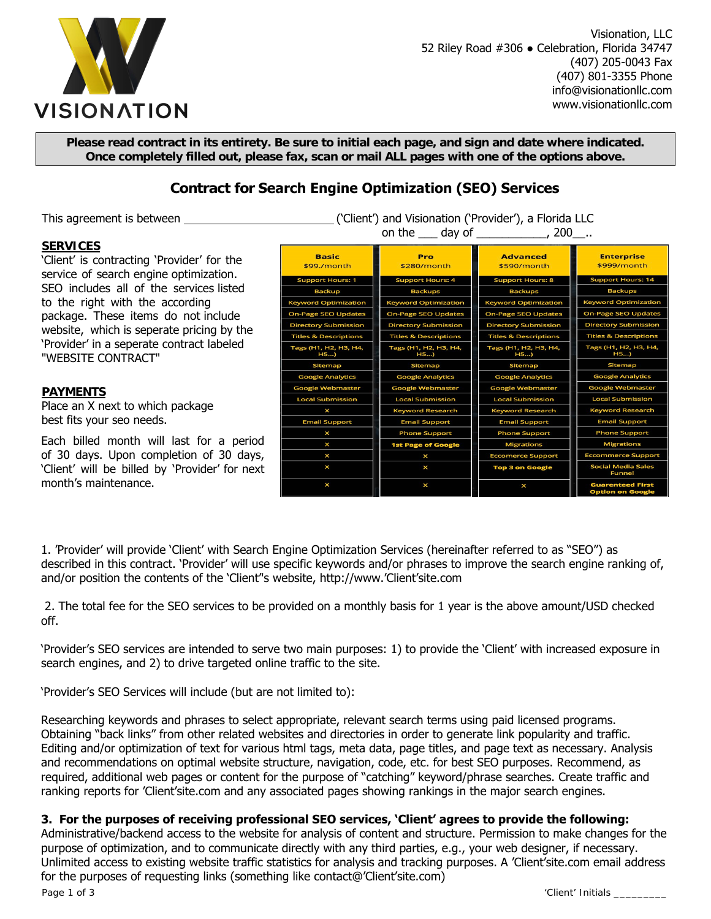

Visionation, LLC 52 Riley Road #306 ● Celebration, Florida 34747 (407) 205-0043 Fax (407) 801-3355 Phone info@visionationllc.com www.visionationllc.com

**Please read contract in its entirety. Be sure to initial each page, and sign and date where indicated. Once completely filled out, please fax, scan or mail ALL pages with one of the options above.** 

# **Contract for Search Engine Optimization (SEO) Services**

This agreement is between \_\_\_\_\_\_\_\_\_\_\_\_\_\_\_\_\_\_\_\_\_\_\_\_\_\_\_\_\_\_\_\_('Client') and Visionation ('Provider'), a Florida LLC

#### **SERVICES**

'Client' is contracting 'Provider' for the service of search engine optimization. SEO includes all of the services listed to the right with the according package. These items do not include website, which is seperate pricing by the 'Provider' in a seperate contract labeled "WEBSITE CONTRACT"

## **PAYMENTS**

Place an X next to which package best fits your seo needs.

Each billed month will last for a period of 30 days. Upon completion of 30 days, 'Client' will be billed by 'Provider' for next month's maintenance.

| on the $\rule{1em}{0.15mm}$ day of $\rule{1.5mm}{0.15mm}$ |                                  |                                  |                                                    |
|-----------------------------------------------------------|----------------------------------|----------------------------------|----------------------------------------------------|
| <b>Basic</b><br>\$99./month                               | Pro<br>\$280/month               | <b>Advanced</b><br>\$590/month   | <b>Enterprise</b><br>\$999/month                   |
| <b>Support Hours: 1</b>                                   | <b>Support Hours: 4</b>          | <b>Support Hours: 8</b>          | <b>Support Hours: 14</b>                           |
| <b>Backup</b>                                             | <b>Backups</b>                   | <b>Backups</b>                   | <b>Backups</b>                                     |
| <b>Keyword Optimization</b>                               | <b>Keyword Optimization</b>      | <b>Keyword Optimization</b>      | <b>Keyword Optimization</b>                        |
| <b>On-Page SEO Updates</b>                                | <b>On-Page SEO Updates</b>       | <b>On-Page SEO Updates</b>       | <b>On-Page SEO Updates</b>                         |
| <b>Directory Submission</b>                               | <b>Directory Submission</b>      | <b>Directory Submission</b>      | <b>Directory Submission</b>                        |
| <b>Titles &amp; Descriptions</b>                          | <b>Titles &amp; Descriptions</b> | <b>Titles &amp; Descriptions</b> | <b>Titles &amp; Descriptions</b>                   |
| Tags (H1, H2, H3, H4,<br>H5                               | Tags (H1, H2, H3, H4,<br>H5      | Tags (H1, H2, H3, H4,<br>H5      | Tags (H1, H2, H3, H4,<br>H5                        |
| Sitemap                                                   | Sitemap                          | Sitemap                          | Sitemap                                            |
| <b>Google Analytics</b>                                   | <b>Google Analytics</b>          | <b>Google Analytics</b>          | <b>Google Analytics</b>                            |
| <b>Google Webmaster</b>                                   | <b>Google Webmaster</b>          | <b>Google Webmaster</b>          | <b>Google Webmaster</b>                            |
| <b>Local Submission</b>                                   | <b>Local Submission</b>          | <b>Local Submission</b>          | <b>Local Submission</b>                            |
| $\times$                                                  | <b>Keyword Research</b>          | <b>Keyword Research</b>          | <b>Keyword Research</b>                            |
| <b>Email Support</b>                                      | <b>Email Support</b>             | <b>Email Support</b>             | <b>Email Support</b>                               |
| X                                                         | <b>Phone Support</b>             | <b>Phone Support</b>             | <b>Phone Support</b>                               |
| ×                                                         | <b>1st Page of Google</b>        | <b>Migrations</b>                | <b>Migrations</b>                                  |
| X                                                         | $\times$                         | <b>Eccomerce Support</b>         | <b>Eccommerce Support</b>                          |
| ×                                                         | $\mathsf{x}$                     | <b>Top 3 on Google</b>           | <b>Social Media Sales</b><br><b>Funnel</b>         |
| ×                                                         | $\times$                         | ×                                | <b>Guarenteed First</b><br><b>Option on Google</b> |

1. 'Provider' will provide 'Client' with Search Engine Optimization Services (hereinafter referred to as "SEO") as described in this contract. 'Provider' will use specific keywords and/or phrases to improve the search engine ranking of, and/or position the contents of the 'Client''s website, http://www.'Client'site.com

2. The total fee for the SEO services to be provided on a monthly basis for 1 year is the above amount/USD checked off.

'Provider's SEO services are intended to serve two main purposes: 1) to provide the 'Client' with increased exposure in search engines, and 2) to drive targeted online traffic to the site.

'Provider's SEO Services will include (but are not limited to):

Researching keywords and phrases to select appropriate, relevant search terms using paid licensed programs. Obtaining "back links" from other related websites and directories in order to generate link popularity and traffic. Editing and/or optimization of text for various html tags, meta data, page titles, and page text as necessary. Analysis and recommendations on optimal website structure, navigation, code, etc. for best SEO purposes. Recommend, as required, additional web pages or content for the purpose of "catching" keyword/phrase searches. Create traffic and ranking reports for 'Client'site.com and any associated pages showing rankings in the major search engines.

### **3. For the purposes of receiving professional SEO services, 'Client' agrees to provide the following:**

Administrative/backend access to the website for analysis of content and structure. Permission to make changes for the purpose of optimization, and to communicate directly with any third parties, e.g., your web designer, if necessary. Unlimited access to existing website traffic statistics for analysis and tracking purposes. A 'Client'site.com email address for the purposes of requesting links (something like contact@'Client'site.com)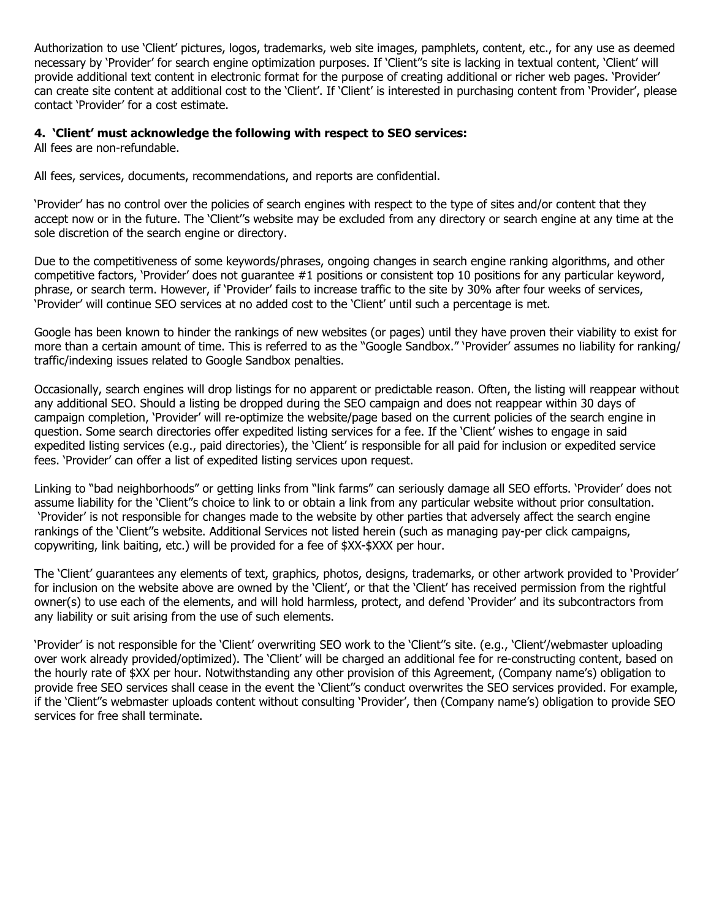Authorization to use 'Client' pictures, logos, trademarks, web site images, pamphlets, content, etc., for any use as deemed necessary by 'Provider' for search engine optimization purposes. If 'Client''s site is lacking in textual content, 'Client' will provide additional text content in electronic format for the purpose of creating additional or richer web pages. 'Provider' can create site content at additional cost to the 'Client'. If 'Client' is interested in purchasing content from 'Provider', please contact 'Provider' for a cost estimate.

## **4. 'Client' must acknowledge the following with respect to SEO services:**

All fees are non-refundable.

All fees, services, documents, recommendations, and reports are confidential.

'Provider' has no control over the policies of search engines with respect to the type of sites and/or content that they accept now or in the future. The 'Client''s website may be excluded from any directory or search engine at any time at the sole discretion of the search engine or directory.

Due to the competitiveness of some keywords/phrases, ongoing changes in search engine ranking algorithms, and other competitive factors, 'Provider' does not guarantee #1 positions or consistent top 10 positions for any particular keyword, phrase, or search term. However, if 'Provider' fails to increase traffic to the site by 30% after four weeks of services, 'Provider' will continue SEO services at no added cost to the 'Client' until such a percentage is met.

Google has been known to hinder the rankings of new websites (or pages) until they have proven their viability to exist for more than a certain amount of time. This is referred to as the "Google Sandbox." 'Provider' assumes no liability for ranking/ traffic/indexing issues related to Google Sandbox penalties.

Occasionally, search engines will drop listings for no apparent or predictable reason. Often, the listing will reappear without any additional SEO. Should a listing be dropped during the SEO campaign and does not reappear within 30 days of campaign completion, 'Provider' will re-optimize the website/page based on the current policies of the search engine in question. Some search directories offer expedited listing services for a fee. If the 'Client' wishes to engage in said expedited listing services (e.g., paid directories), the 'Client' is responsible for all paid for inclusion or expedited service fees. 'Provider' can offer a list of expedited listing services upon request.

Linking to "bad neighborhoods" or getting links from "link farms" can seriously damage all SEO efforts. 'Provider' does not assume liability for the 'Client''s choice to link to or obtain a link from any particular website without prior consultation. 'Provider' is not responsible for changes made to the website by other parties that adversely affect the search engine rankings of the 'Client''s website. Additional Services not listed herein (such as managing pay-per click campaigns, copywriting, link baiting, etc.) will be provided for a fee of \$XX-\$XXX per hour.

The 'Client' guarantees any elements of text, graphics, photos, designs, trademarks, or other artwork provided to 'Provider' for inclusion on the website above are owned by the 'Client', or that the 'Client' has received permission from the rightful owner(s) to use each of the elements, and will hold harmless, protect, and defend 'Provider' and its subcontractors from any liability or suit arising from the use of such elements.

'Provider' is not responsible for the 'Client' overwriting SEO work to the 'Client''s site. (e.g., 'Client'/webmaster uploading over work already provided/optimized). The 'Client' will be charged an additional fee for re-constructing content, based on the hourly rate of \$XX per hour. Notwithstanding any other provision of this Agreement, (Company name's) obligation to provide free SEO services shall cease in the event the 'Client''s conduct overwrites the SEO services provided. For example, if the 'Client''s webmaster uploads content without consulting 'Provider', then (Company name's) obligation to provide SEO services for free shall terminate.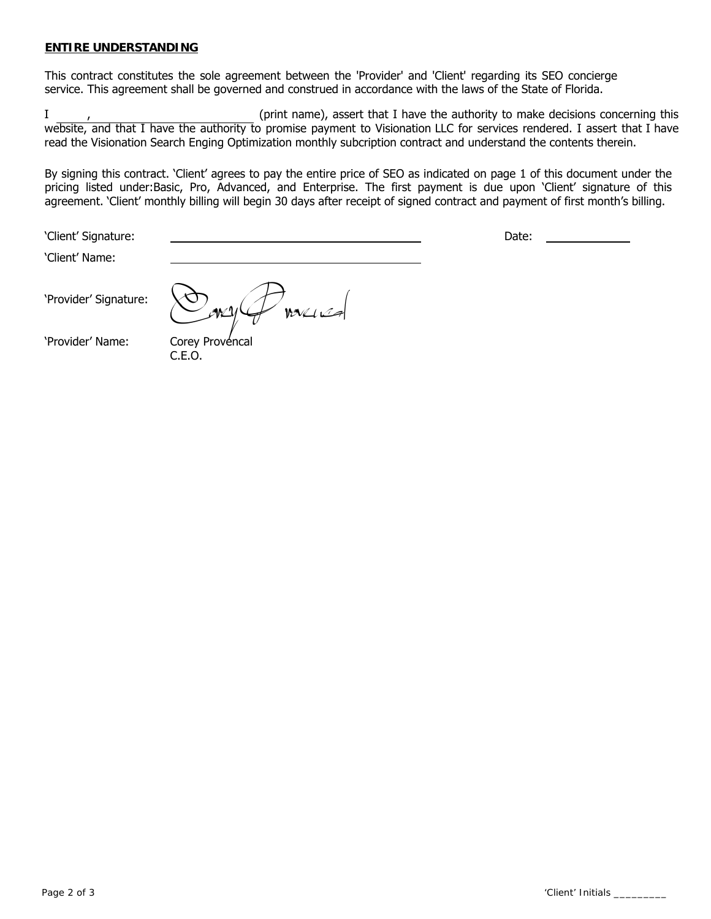### **ENTIRE UNDERSTANDING**

This contract constitutes the sole agreement between the 'Provider' and 'Client' regarding its SEO concierge service. This agreement shall be governed and construed in accordance with the laws of the State of Florida.

I, the contract (print name), assert that I have the authority to make decisions concerning this website, and that I have the authority to promise payment to Visionation LLC for services rendered. I assert that I have read the Visionation Search Enging Optimization monthly subcription contract and understand the contents therein.

By signing this contract. 'Client' agrees to pay the entire price of SEO as indicated on page 1 of this document under the pricing listed under:Basic, Pro, Advanced, and Enterprise. The first payment is due upon 'Client' signature of this agreement. 'Client' monthly billing will begin 30 days after receipt of signed contract and payment of first month's billing.

'Client' Name:

'Client' Signature: Date:

'Provider' Signature:

.<br>WXLILA

'Provider' Name: Corey Provencal C.E.O.